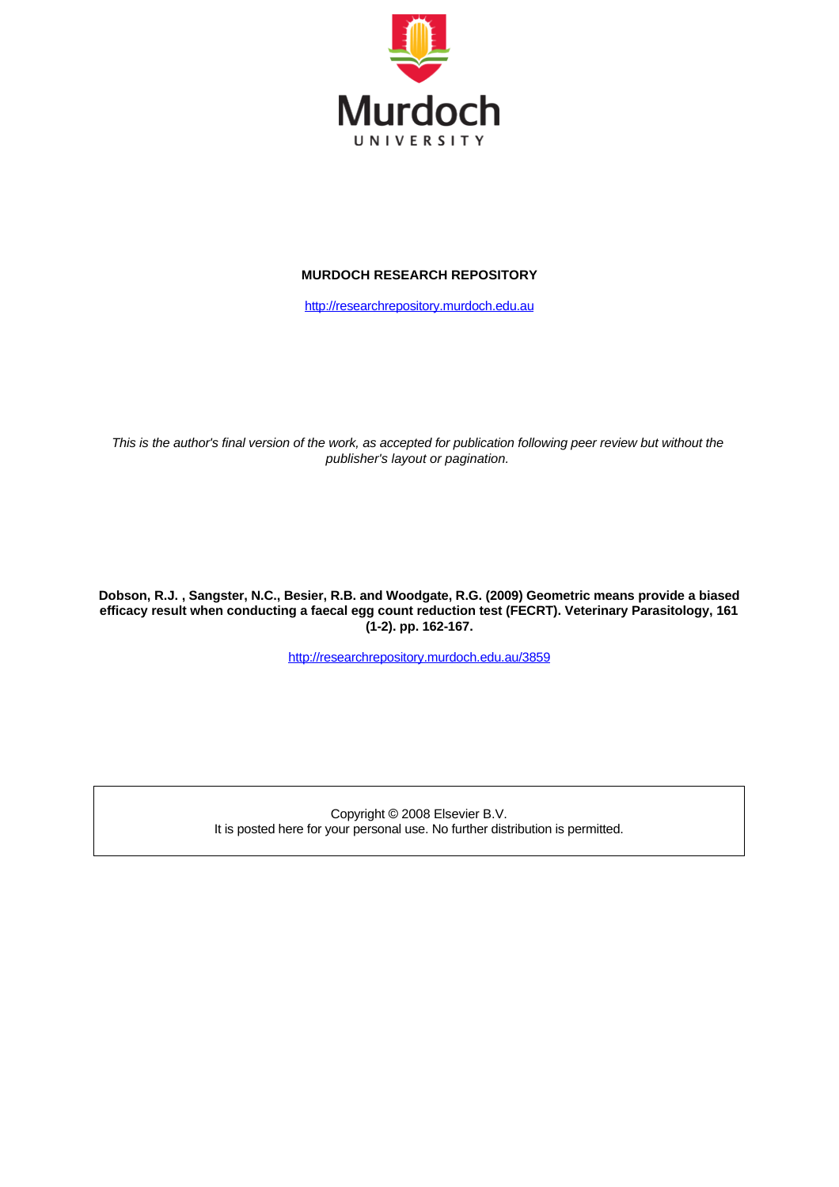

#### **MURDOCH RESEARCH REPOSITORY**

[http://researchrepository.murdoch.edu.au](http://researchrepository.murdoch.edu.au/)

This is the author's final version of the work, as accepted for publication following peer review but without the *publisher's layout or pagination.*

**Dobson, R.J. , Sangster, N.C., Besier, R.B. and Woodgate, R.G. (2009) Geometric means provide a biased efficacy result when conducting a faecal egg count reduction test (FECRT). Veterinary Parasitology, 161 (1-2). pp. 162-167.**

<http://researchrepository.murdoch.edu.au/3859>

Copyright © 2008 Elsevier B.V. It is posted here for your personal use. No further distribution is permitted.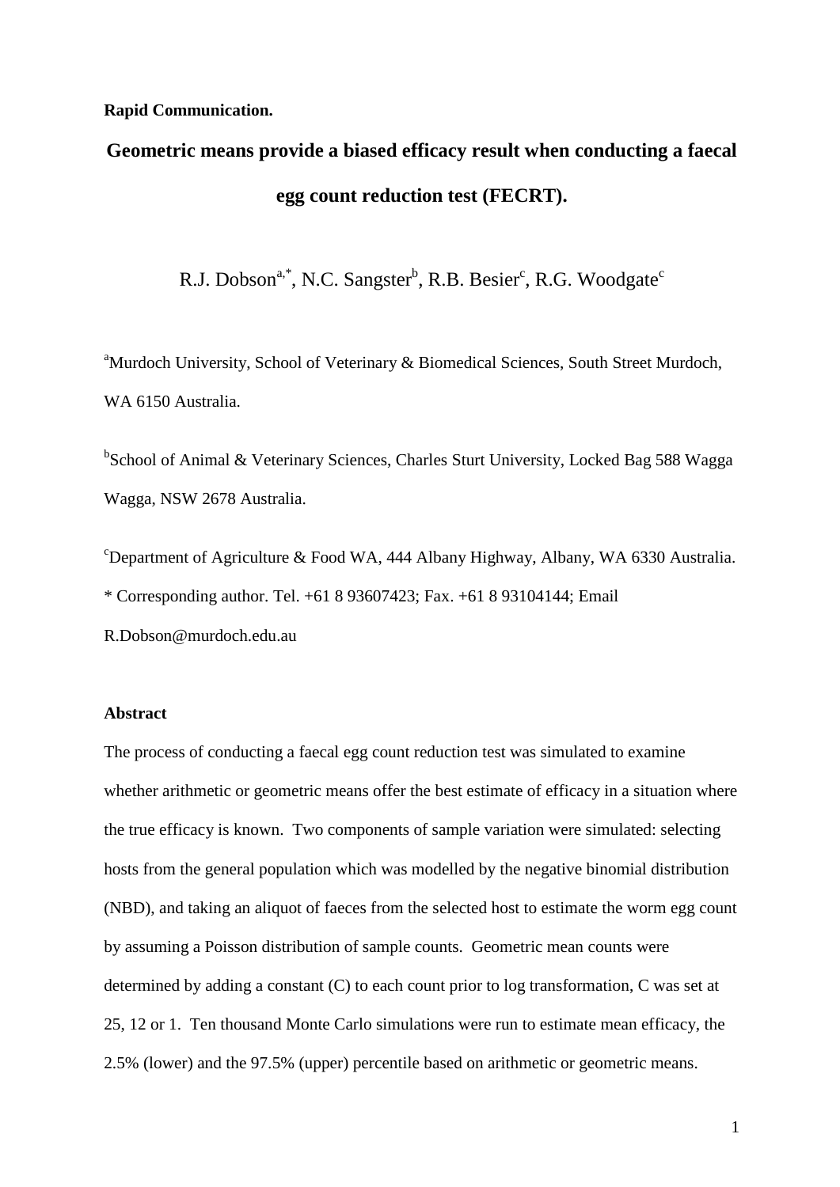# **Rapid Communication.**

# **Geometric means provide a biased efficacy result when conducting a faecal egg count reduction test (FECRT).**

R.J. Dobson<sup>a,\*</sup>, N.C. Sangster<sup>b</sup>, R.B. Besier<sup>c</sup>, R.G. Woodgate<sup>c</sup>

<sup>a</sup>Murdoch University, School of Veterinary & Biomedical Sciences, South Street Murdoch, WA 6150 Australia.

<sup>b</sup>School of Animal & Veterinary Sciences, Charles Sturt University, Locked Bag 588 Wagga Wagga, NSW 2678 Australia.

<sup>c</sup>Department of Agriculture & Food WA, 444 Albany Highway, Albany, WA 6330 Australia. \* Corresponding author. Tel. +61 8 93607423; Fax. +61 8 93104144; Email R.Dobson@murdoch.edu.au

# **Abstract**

The process of conducting a faecal egg count reduction test was simulated to examine whether arithmetic or geometric means offer the best estimate of efficacy in a situation where the true efficacy is known. Two components of sample variation were simulated: selecting hosts from the general population which was modelled by the negative binomial distribution (NBD), and taking an aliquot of faeces from the selected host to estimate the worm egg count by assuming a Poisson distribution of sample counts. Geometric mean counts were determined by adding a constant (C) to each count prior to log transformation, C was set at 25, 12 or 1. Ten thousand Monte Carlo simulations were run to estimate mean efficacy, the 2.5% (lower) and the 97.5% (upper) percentile based on arithmetic or geometric means.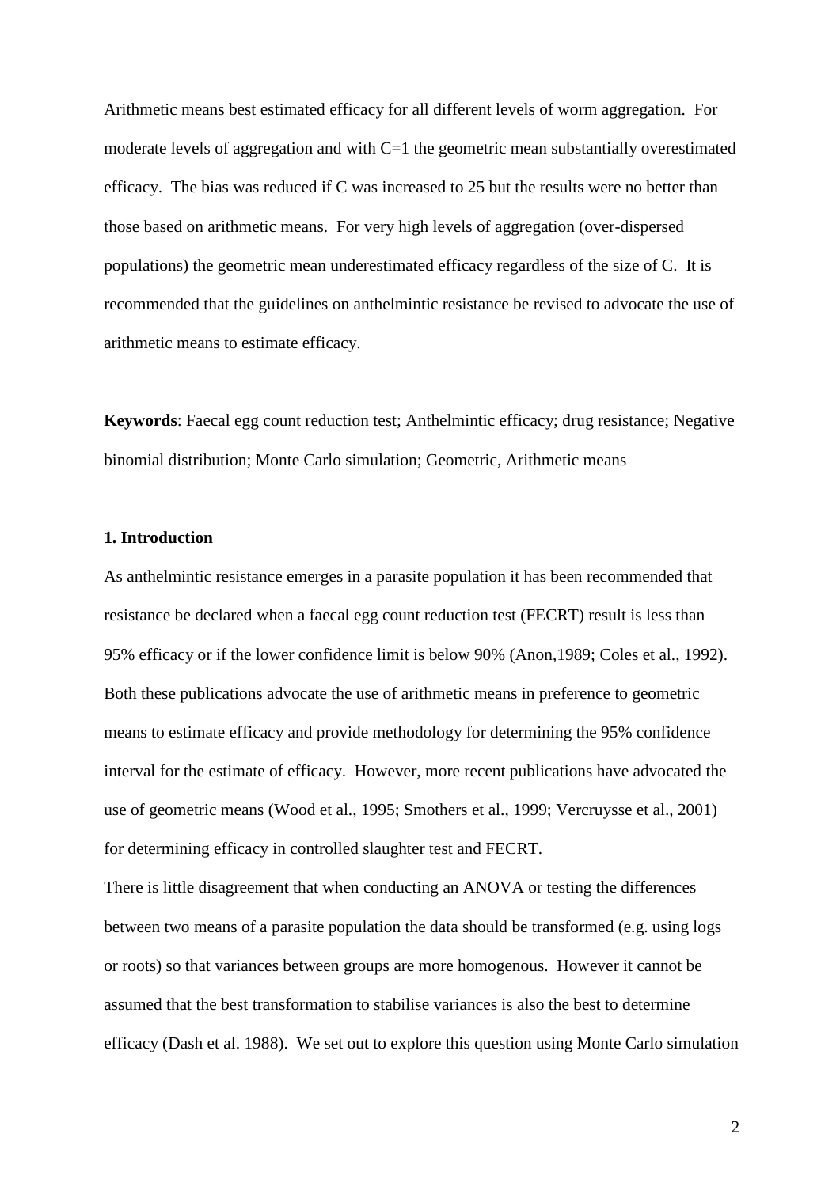Arithmetic means best estimated efficacy for all different levels of worm aggregation. For moderate levels of aggregation and with  $C=1$  the geometric mean substantially overestimated efficacy. The bias was reduced if C was increased to 25 but the results were no better than those based on arithmetic means. For very high levels of aggregation (over-dispersed populations) the geometric mean underestimated efficacy regardless of the size of C. It is recommended that the guidelines on anthelmintic resistance be revised to advocate the use of arithmetic means to estimate efficacy.

**Keywords**: Faecal egg count reduction test; Anthelmintic efficacy; drug resistance; Negative binomial distribution; Monte Carlo simulation; Geometric, Arithmetic means

## **1. Introduction**

As anthelmintic resistance emerges in a parasite population it has been recommended that resistance be declared when a faecal egg count reduction test (FECRT) result is less than 95% efficacy or if the lower confidence limit is below 90% (Anon,1989; Coles et al., 1992). Both these publications advocate the use of arithmetic means in preference to geometric means to estimate efficacy and provide methodology for determining the 95% confidence interval for the estimate of efficacy. However, more recent publications have advocated the use of geometric means (Wood et al., 1995; Smothers et al., 1999; Vercruysse et al., 2001) for determining efficacy in controlled slaughter test and FECRT.

There is little disagreement that when conducting an ANOVA or testing the differences between two means of a parasite population the data should be transformed (e.g. using logs or roots) so that variances between groups are more homogenous. However it cannot be assumed that the best transformation to stabilise variances is also the best to determine efficacy (Dash et al. 1988). We set out to explore this question using Monte Carlo simulation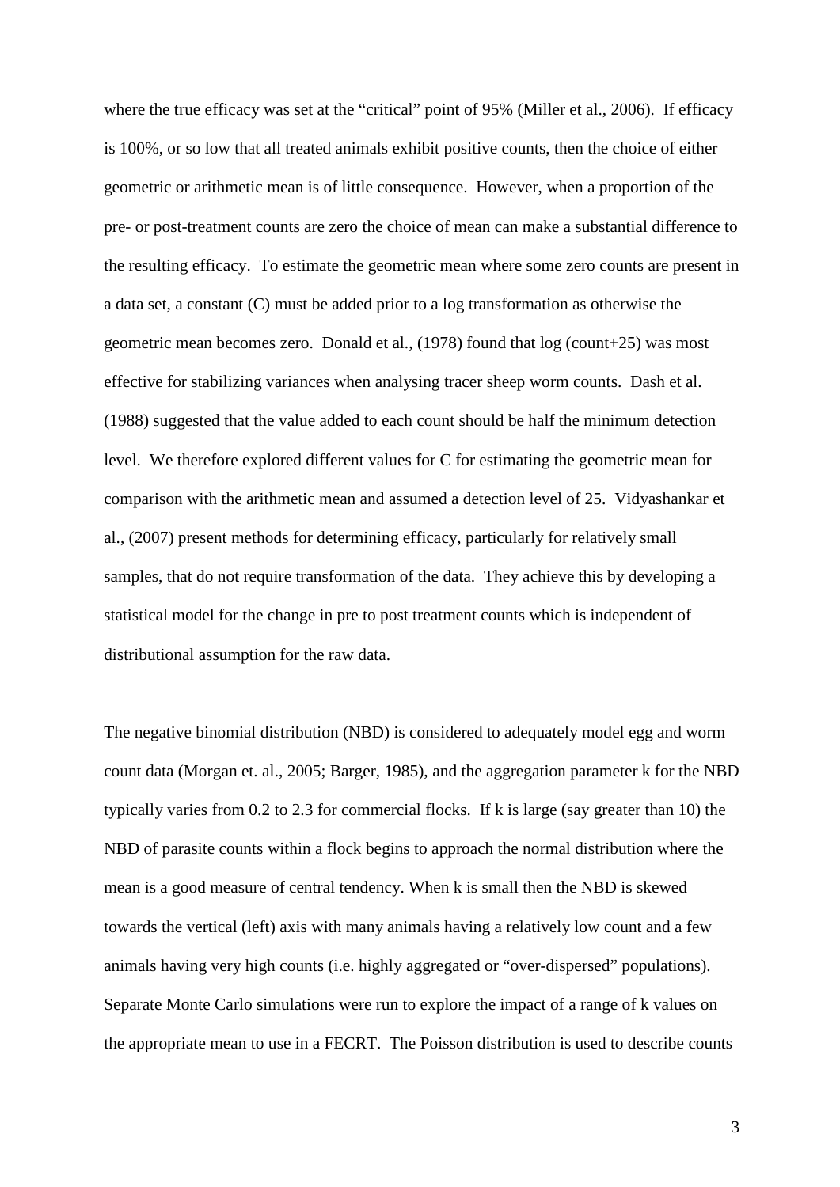where the true efficacy was set at the "critical" point of 95% (Miller et al., 2006). If efficacy is 100%, or so low that all treated animals exhibit positive counts, then the choice of either geometric or arithmetic mean is of little consequence. However, when a proportion of the pre- or post-treatment counts are zero the choice of mean can make a substantial difference to the resulting efficacy. To estimate the geometric mean where some zero counts are present in a data set, a constant (C) must be added prior to a log transformation as otherwise the geometric mean becomes zero. Donald et al., (1978) found that log (count+25) was most effective for stabilizing variances when analysing tracer sheep worm counts. Dash et al. (1988) suggested that the value added to each count should be half the minimum detection level. We therefore explored different values for C for estimating the geometric mean for comparison with the arithmetic mean and assumed a detection level of 25. Vidyashankar et al., (2007) present methods for determining efficacy, particularly for relatively small samples, that do not require transformation of the data. They achieve this by developing a statistical model for the change in pre to post treatment counts which is independent of distributional assumption for the raw data.

The negative binomial distribution (NBD) is considered to adequately model egg and worm count data (Morgan et. al., 2005; Barger, 1985), and the aggregation parameter k for the NBD typically varies from 0.2 to 2.3 for commercial flocks. If k is large (say greater than 10) the NBD of parasite counts within a flock begins to approach the normal distribution where the mean is a good measure of central tendency. When k is small then the NBD is skewed towards the vertical (left) axis with many animals having a relatively low count and a few animals having very high counts (i.e. highly aggregated or "over-dispersed" populations). Separate Monte Carlo simulations were run to explore the impact of a range of k values on the appropriate mean to use in a FECRT. The Poisson distribution is used to describe counts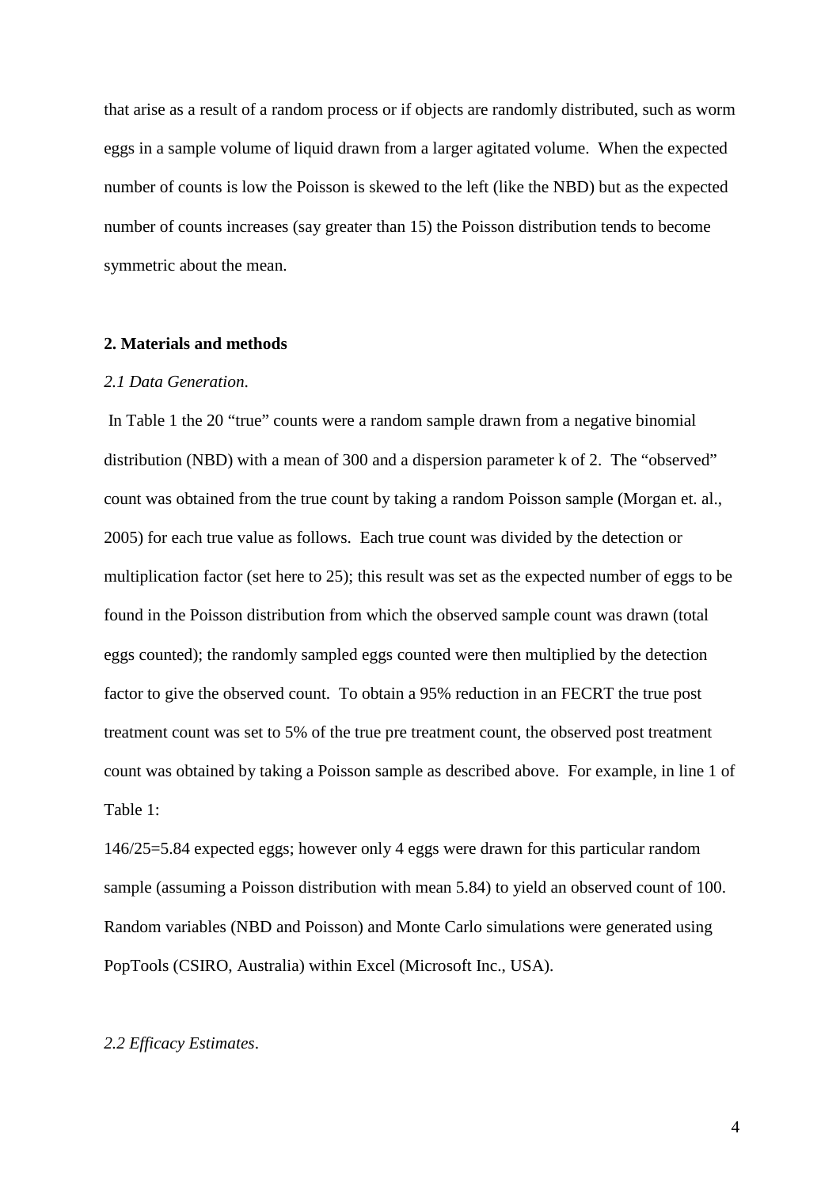that arise as a result of a random process or if objects are randomly distributed, such as worm eggs in a sample volume of liquid drawn from a larger agitated volume. When the expected number of counts is low the Poisson is skewed to the left (like the NBD) but as the expected number of counts increases (say greater than 15) the Poisson distribution tends to become symmetric about the mean.

## **2. Materials and methods**

#### *2.1 Data Generation*.

In Table 1 the 20 "true" counts were a random sample drawn from a negative binomial distribution (NBD) with a mean of 300 and a dispersion parameter k of 2. The "observed" count was obtained from the true count by taking a random Poisson sample (Morgan et. al., 2005) for each true value as follows. Each true count was divided by the detection or multiplication factor (set here to 25); this result was set as the expected number of eggs to be found in the Poisson distribution from which the observed sample count was drawn (total eggs counted); the randomly sampled eggs counted were then multiplied by the detection factor to give the observed count. To obtain a 95% reduction in an FECRT the true post treatment count was set to 5% of the true pre treatment count, the observed post treatment count was obtained by taking a Poisson sample as described above. For example, in line 1 of Table 1:

146/25=5.84 expected eggs; however only 4 eggs were drawn for this particular random sample (assuming a Poisson distribution with mean 5.84) to yield an observed count of 100. Random variables (NBD and Poisson) and Monte Carlo simulations were generated using PopTools (CSIRO, Australia) within Excel (Microsoft Inc., USA).

## *2.2 Efficacy Estimates*.

4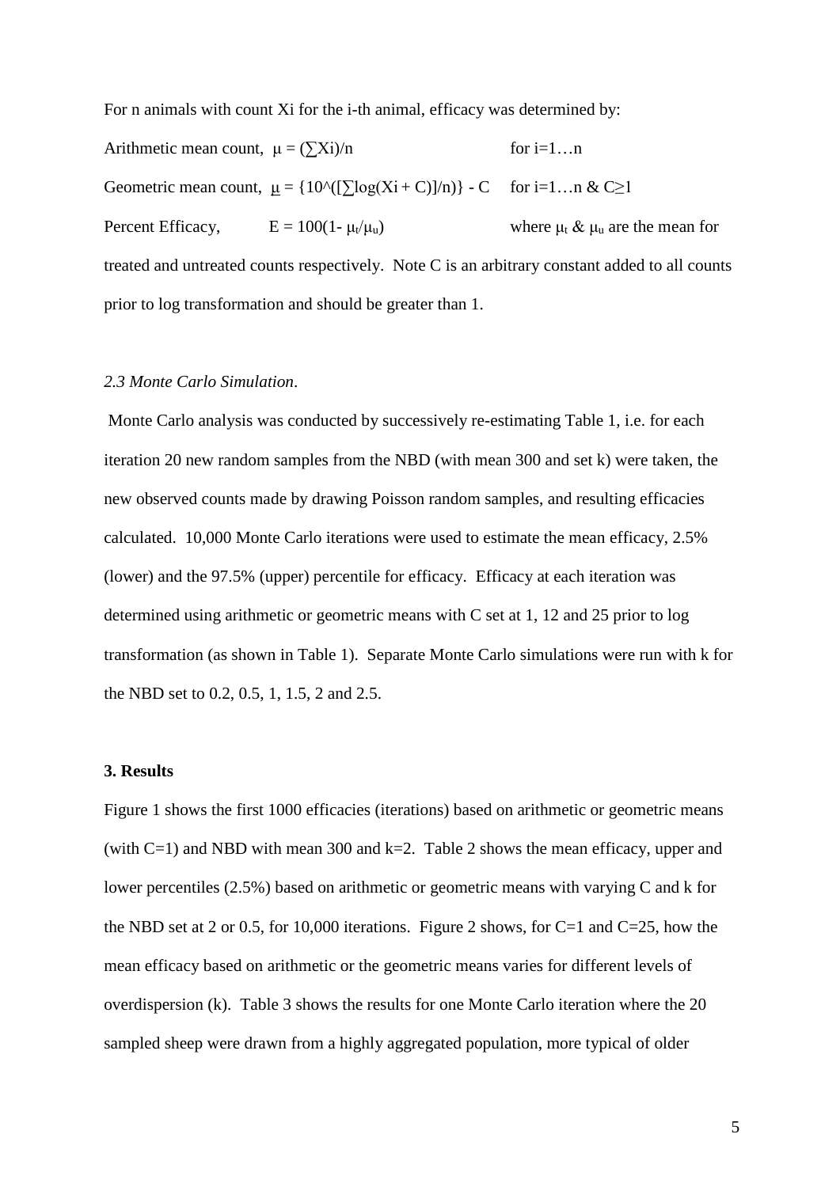For n animals with count Xi for the i-th animal, efficacy was determined by:

Arithmetic mean count,  $\mu = (\sum X_i)/n$  for  $i=1...n$ Geometric mean count,  $\mu = \{10^x([\sum \log(X_i + C)]/n)\} - C$  for i=1...  $\alpha \& C \ge 1$ Percent Efficacy,  $E = 100(1 - \mu_v/\mu_u)$  where  $\mu_t \& \mu_u$  are the mean for treated and untreated counts respectively. Note C is an arbitrary constant added to all counts prior to log transformation and should be greater than 1.

## *2.3 Monte Carlo Simulation*.

Monte Carlo analysis was conducted by successively re-estimating Table 1, i.e. for each iteration 20 new random samples from the NBD (with mean 300 and set k) were taken, the new observed counts made by drawing Poisson random samples, and resulting efficacies calculated. 10,000 Monte Carlo iterations were used to estimate the mean efficacy, 2.5% (lower) and the 97.5% (upper) percentile for efficacy. Efficacy at each iteration was determined using arithmetic or geometric means with C set at 1, 12 and 25 prior to log transformation (as shown in Table 1). Separate Monte Carlo simulations were run with k for the NBD set to 0.2, 0.5, 1, 1.5, 2 and 2.5.

#### **3. Results**

Figure 1 shows the first 1000 efficacies (iterations) based on arithmetic or geometric means (with  $C=1$ ) and NBD with mean 300 and k=2. Table 2 shows the mean efficacy, upper and lower percentiles (2.5%) based on arithmetic or geometric means with varying C and k for the NBD set at 2 or 0.5, for 10,000 iterations. Figure 2 shows, for  $C=1$  and  $C=25$ , how the mean efficacy based on arithmetic or the geometric means varies for different levels of overdispersion (k). Table 3 shows the results for one Monte Carlo iteration where the 20 sampled sheep were drawn from a highly aggregated population, more typical of older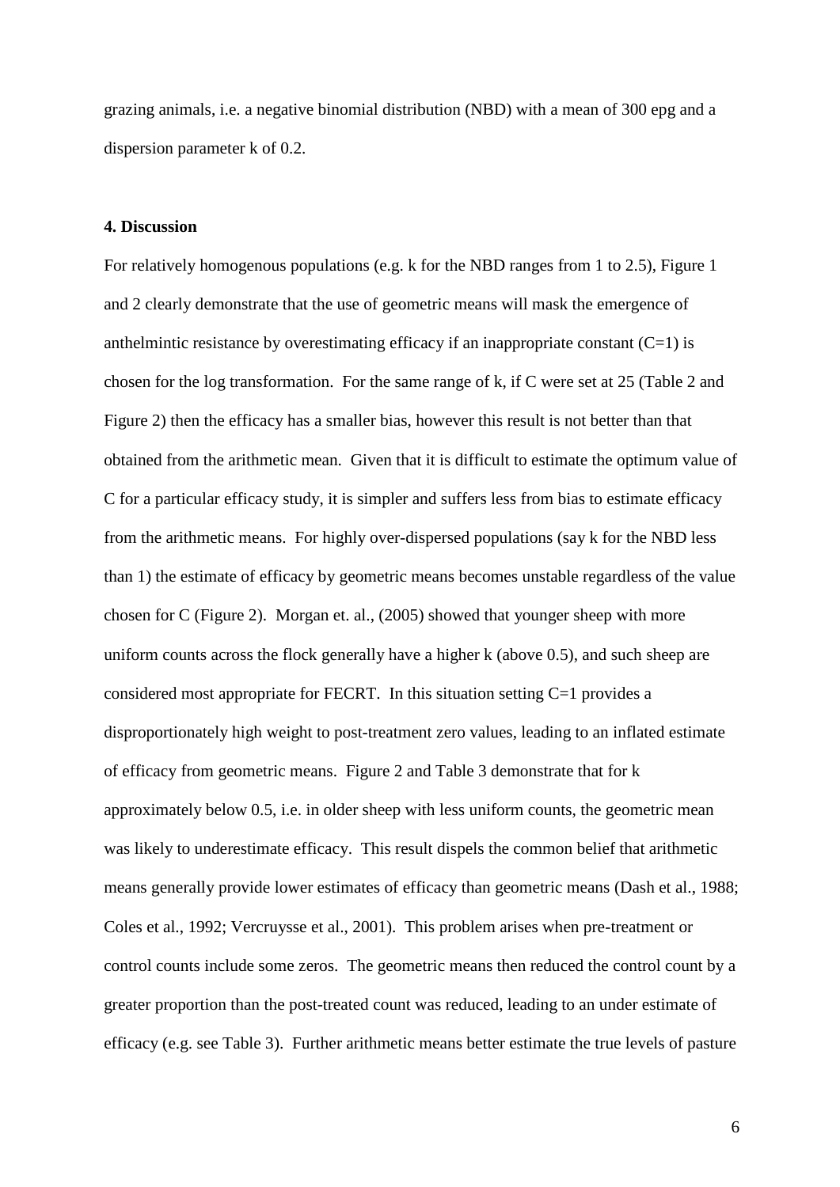grazing animals, i.e. a negative binomial distribution (NBD) with a mean of 300 epg and a dispersion parameter k of 0.2.

# **4. Discussion**

For relatively homogenous populations (e.g. k for the NBD ranges from 1 to 2.5), Figure 1 and 2 clearly demonstrate that the use of geometric means will mask the emergence of anthelmintic resistance by overestimating efficacy if an inappropriate constant  $(C=1)$  is chosen for the log transformation. For the same range of k, if C were set at 25 (Table 2 and Figure 2) then the efficacy has a smaller bias, however this result is not better than that obtained from the arithmetic mean. Given that it is difficult to estimate the optimum value of C for a particular efficacy study, it is simpler and suffers less from bias to estimate efficacy from the arithmetic means. For highly over-dispersed populations (say k for the NBD less than 1) the estimate of efficacy by geometric means becomes unstable regardless of the value chosen for C (Figure 2). Morgan et. al., (2005) showed that younger sheep with more uniform counts across the flock generally have a higher k (above 0.5), and such sheep are considered most appropriate for FECRT. In this situation setting C=1 provides a disproportionately high weight to post-treatment zero values, leading to an inflated estimate of efficacy from geometric means. Figure 2 and Table 3 demonstrate that for k approximately below 0.5, i.e. in older sheep with less uniform counts, the geometric mean was likely to underestimate efficacy. This result dispels the common belief that arithmetic means generally provide lower estimates of efficacy than geometric means (Dash et al., 1988; Coles et al., 1992; Vercruysse et al., 2001). This problem arises when pre-treatment or control counts include some zeros. The geometric means then reduced the control count by a greater proportion than the post-treated count was reduced, leading to an under estimate of efficacy (e.g. see Table 3). Further arithmetic means better estimate the true levels of pasture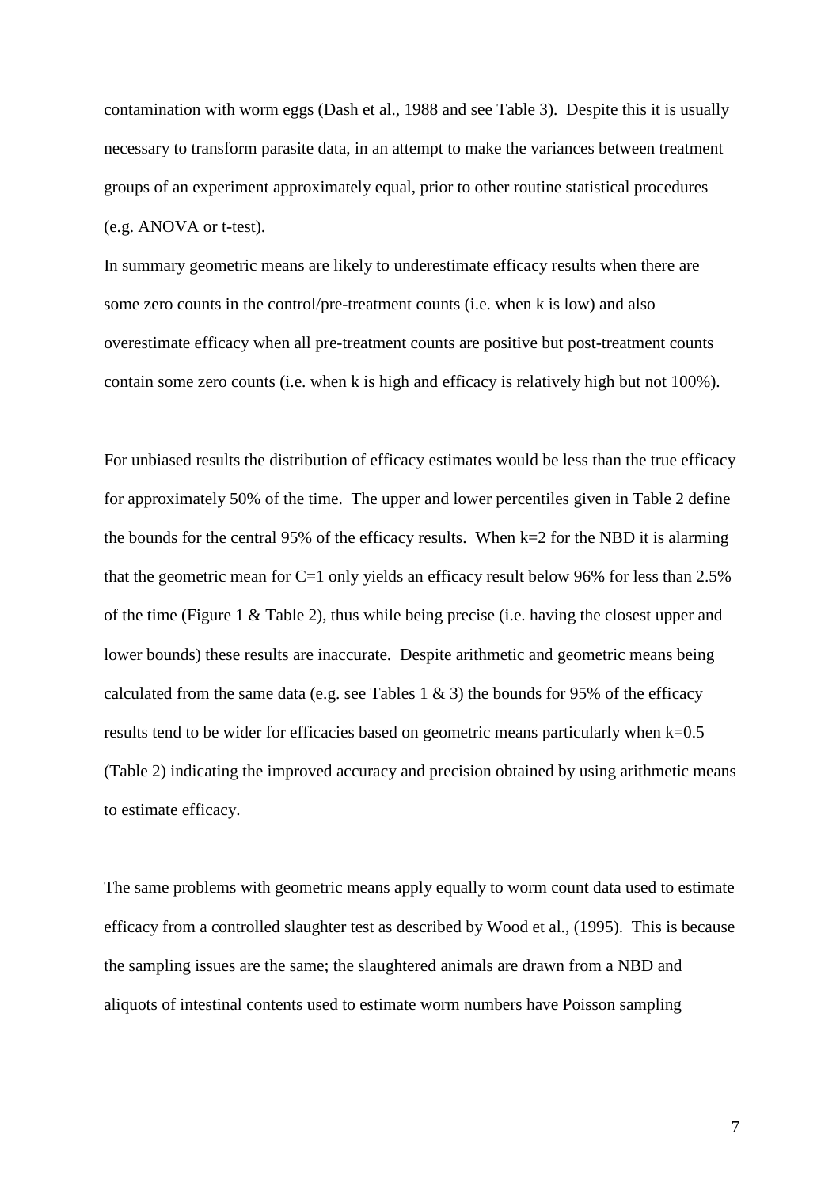contamination with worm eggs (Dash et al., 1988 and see Table 3). Despite this it is usually necessary to transform parasite data, in an attempt to make the variances between treatment groups of an experiment approximately equal, prior to other routine statistical procedures (e.g. ANOVA or t-test).

In summary geometric means are likely to underestimate efficacy results when there are some zero counts in the control/pre-treatment counts (i.e. when k is low) and also overestimate efficacy when all pre-treatment counts are positive but post-treatment counts contain some zero counts (i.e. when k is high and efficacy is relatively high but not 100%).

For unbiased results the distribution of efficacy estimates would be less than the true efficacy for approximately 50% of the time. The upper and lower percentiles given in Table 2 define the bounds for the central 95% of the efficacy results. When k=2 for the NBD it is alarming that the geometric mean for C=1 only yields an efficacy result below 96% for less than 2.5% of the time (Figure 1 & Table 2), thus while being precise (i.e. having the closest upper and lower bounds) these results are inaccurate. Despite arithmetic and geometric means being calculated from the same data (e.g. see Tables 1  $\&$  3) the bounds for 95% of the efficacy results tend to be wider for efficacies based on geometric means particularly when k=0.5 (Table 2) indicating the improved accuracy and precision obtained by using arithmetic means to estimate efficacy.

The same problems with geometric means apply equally to worm count data used to estimate efficacy from a controlled slaughter test as described by Wood et al., (1995). This is because the sampling issues are the same; the slaughtered animals are drawn from a NBD and aliquots of intestinal contents used to estimate worm numbers have Poisson sampling

7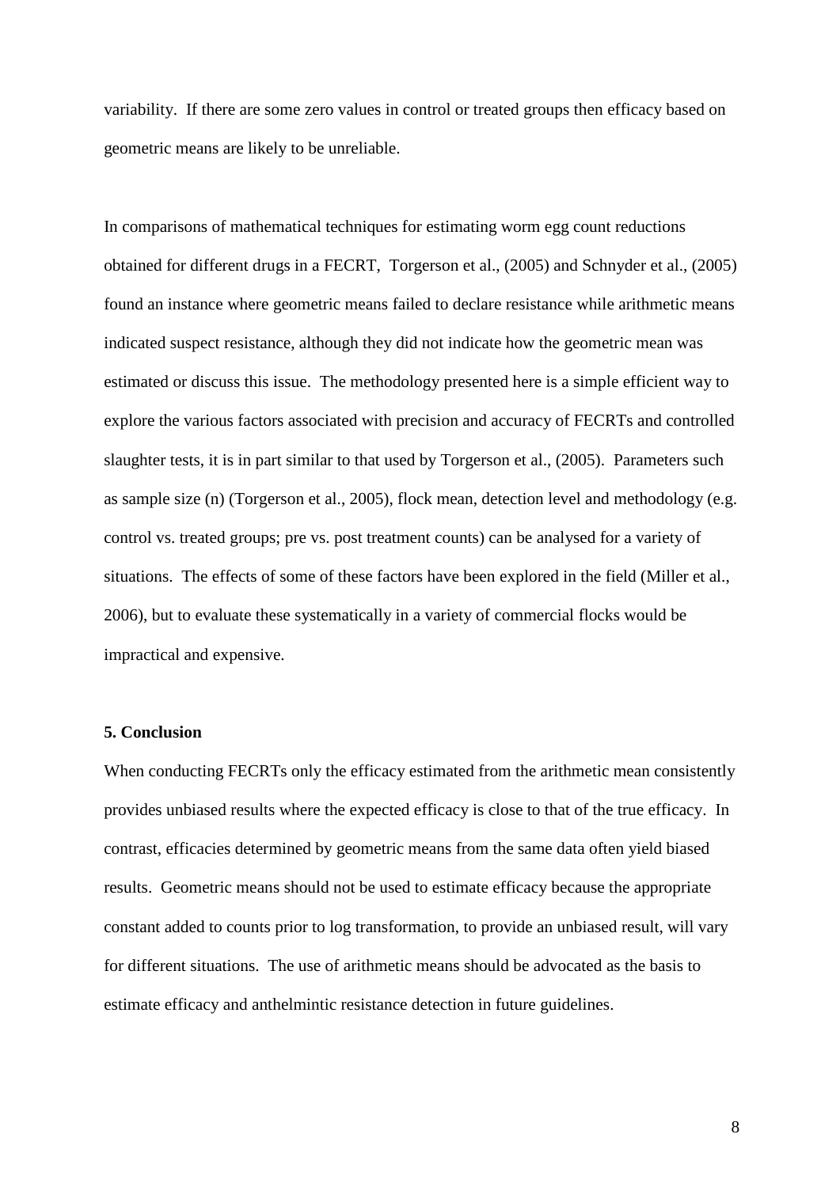variability. If there are some zero values in control or treated groups then efficacy based on geometric means are likely to be unreliable.

In comparisons of mathematical techniques for estimating worm egg count reductions obtained for different drugs in a FECRT, Torgerson et al., (2005) and Schnyder et al., (2005) found an instance where geometric means failed to declare resistance while arithmetic means indicated suspect resistance, although they did not indicate how the geometric mean was estimated or discuss this issue. The methodology presented here is a simple efficient way to explore the various factors associated with precision and accuracy of FECRTs and controlled slaughter tests, it is in part similar to that used by Torgerson et al., (2005). Parameters such as sample size (n) (Torgerson et al., 2005), flock mean, detection level and methodology (e.g. control vs. treated groups; pre vs. post treatment counts) can be analysed for a variety of situations. The effects of some of these factors have been explored in the field (Miller et al., 2006), but to evaluate these systematically in a variety of commercial flocks would be impractical and expensive.

# **5. Conclusion**

When conducting FECRTs only the efficacy estimated from the arithmetic mean consistently provides unbiased results where the expected efficacy is close to that of the true efficacy. In contrast, efficacies determined by geometric means from the same data often yield biased results. Geometric means should not be used to estimate efficacy because the appropriate constant added to counts prior to log transformation, to provide an unbiased result, will vary for different situations. The use of arithmetic means should be advocated as the basis to estimate efficacy and anthelmintic resistance detection in future guidelines.

8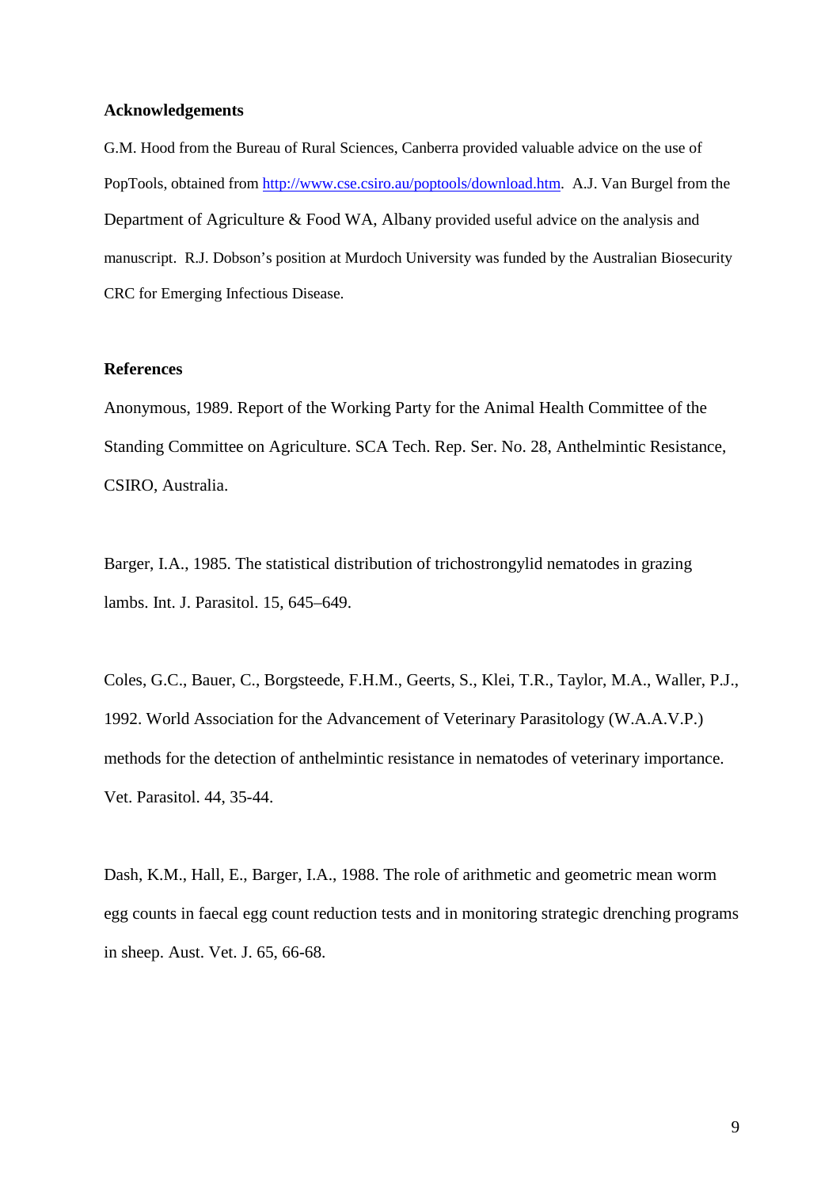#### **Acknowledgements**

G.M. Hood from the Bureau of Rural Sciences, Canberra provided valuable advice on the use of PopTools, obtained from [http://www.cse.csiro.au/poptools/download.htm.](http://www.cse.csiro.au/poptools/download.htm) A.J. Van Burgel from the Department of Agriculture & Food WA, Albany provided useful advice on the analysis and manuscript. R.J. Dobson's position at Murdoch University was funded by the Australian Biosecurity CRC for Emerging Infectious Disease.

# **References**

Anonymous, 1989. Report of the Working Party for the Animal Health Committee of the Standing Committee on Agriculture. SCA Tech. Rep. Ser. No. 28, Anthelmintic Resistance, CSIRO, Australia.

Barger, I.A., 1985. The statistical distribution of trichostrongylid nematodes in grazing lambs. Int. J. Parasitol. 15, 645–649.

Coles, G.C., Bauer, C., Borgsteede, F.H.M., Geerts, S., Klei, T.R., Taylor, M.A., Waller, P.J., 1992. World Association for the Advancement of Veterinary Parasitology (W.A.A.V.P.) methods for the detection of anthelmintic resistance in nematodes of veterinary importance. Vet. Parasitol. 44, 35-44.

Dash, K.M., Hall, E., Barger, I.A., 1988. The role of arithmetic and geometric mean worm egg counts in faecal egg count reduction tests and in monitoring strategic drenching programs in sheep. Aust. Vet. J. 65, 66-68.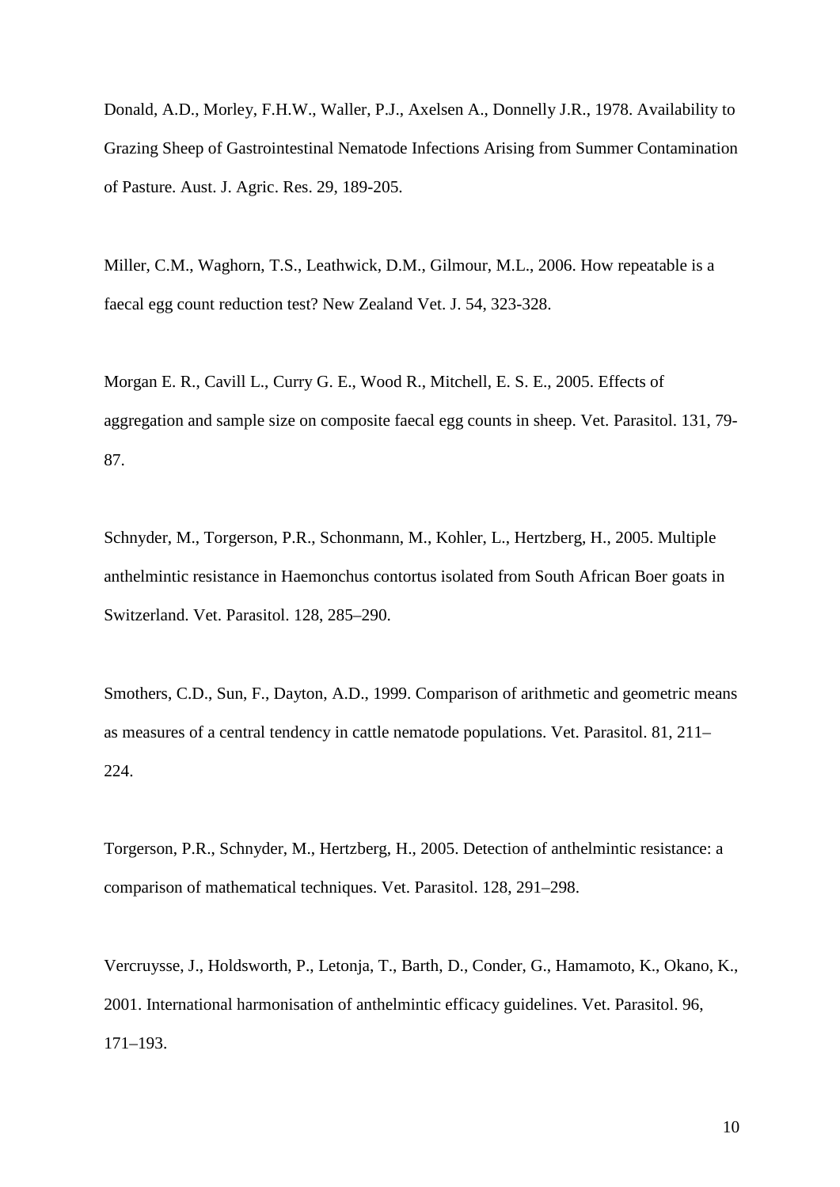Donald, A.D., Morley, F.H.W., Waller, P.J., Axelsen A., Donnelly J.R., 1978. Availability to Grazing Sheep of Gastrointestinal Nematode Infections Arising from Summer Contamination of Pasture. Aust. J. Agric. Res. 29, 189-205.

Miller, C.M., Waghorn, T.S., Leathwick, D.M., Gilmour, M.L., 2006. How repeatable is a faecal egg count reduction test? New Zealand Vet. J. 54, 323-328.

Morgan E. R., Cavill L., Curry G. E., Wood R., Mitchell, E. S. E., 2005. Effects of aggregation and sample size on composite faecal egg counts in sheep. Vet. Parasitol. 131, 79- 87.

Schnyder, M., Torgerson, P.R., Schonmann, M., Kohler, L., Hertzberg, H., 2005. Multiple anthelmintic resistance in Haemonchus contortus isolated from South African Boer goats in Switzerland. Vet. Parasitol. 128, 285–290.

Smothers, C.D., Sun, F., Dayton, A.D., 1999. Comparison of arithmetic and geometric means as measures of a central tendency in cattle nematode populations. Vet. Parasitol. 81, 211– 224.

Torgerson, P.R., Schnyder, M., Hertzberg, H., 2005. Detection of anthelmintic resistance: a comparison of mathematical techniques. Vet. Parasitol. 128, 291–298.

Vercruysse, J., Holdsworth, P., Letonja, T., Barth, D., Conder, G., Hamamoto, K., Okano, K., 2001. International harmonisation of anthelmintic efficacy guidelines. Vet. Parasitol. 96, 171–193.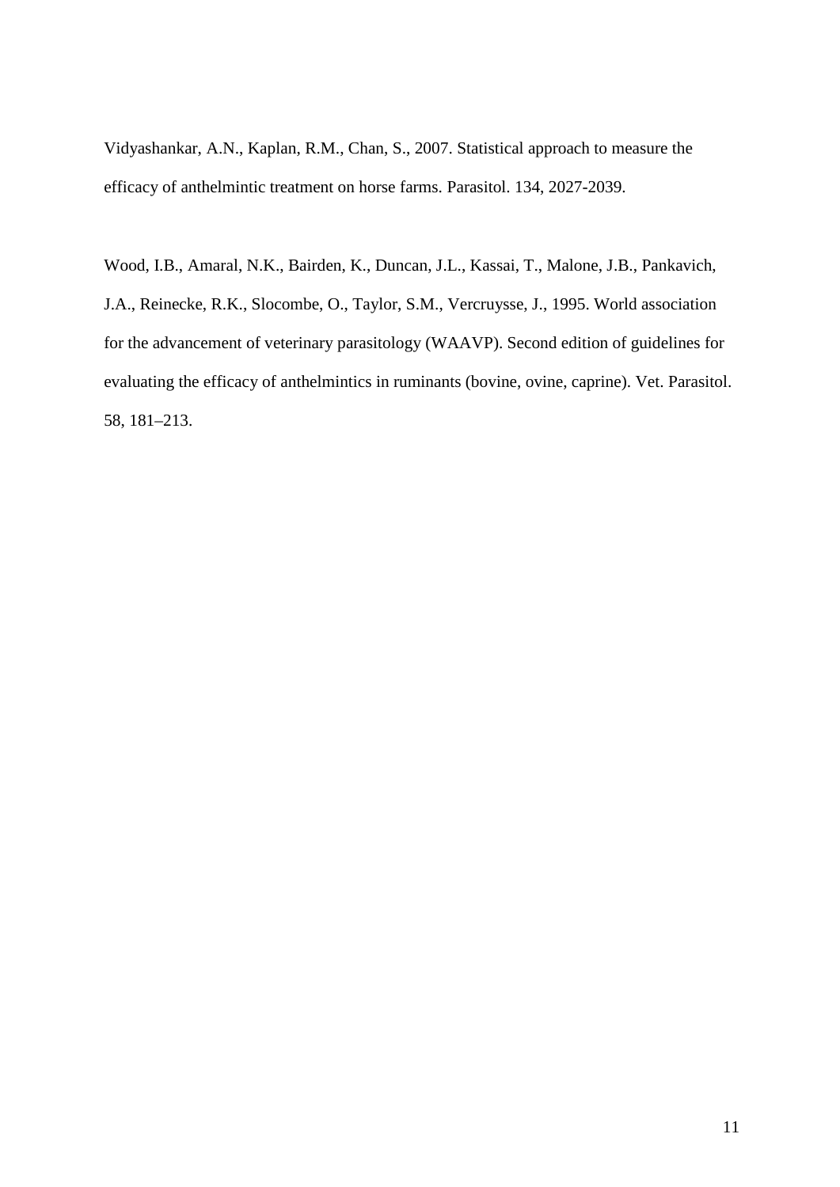[Vidyashankar, A.N.](http://www.ncbi.nlm.nih.gov/sites/entrez?Db=pubmed&Cmd=Search&Term=%22Vidyashankar%20AN%22%5BAuthor%5D&itool=EntrezSystem2.PEntrez.Pubmed.Pubmed_ResultsPanel.Pubmed_RVAbstract), [Kaplan, R.M.](http://www.ncbi.nlm.nih.gov/sites/entrez?Db=pubmed&Cmd=Search&Term=%22Kaplan%20RM%22%5BAuthor%5D&itool=EntrezSystem2.PEntrez.Pubmed.Pubmed_ResultsPanel.Pubmed_RVAbstract), [Chan, S.](http://www.ncbi.nlm.nih.gov/sites/entrez?Db=pubmed&Cmd=Search&Term=%22Chan%20S%22%5BAuthor%5D&itool=EntrezSystem2.PEntrez.Pubmed.Pubmed_ResultsPanel.Pubmed_RVAbstract), 2007. Statistical approach to measure the efficacy of anthelmintic treatment on horse farms. Parasitol. 134, 2027-2039.

Wood, I.B., Amaral, N.K., Bairden, K., Duncan, J.L., Kassai, T., Malone, J.B., Pankavich, J.A., Reinecke, R.K., Slocombe, O., Taylor, S.M., Vercruysse, J., 1995. World association for the advancement of veterinary parasitology (WAAVP). Second edition of guidelines for evaluating the efficacy of anthelmintics in ruminants (bovine, ovine, caprine). Vet. Parasitol. 58, 181–213.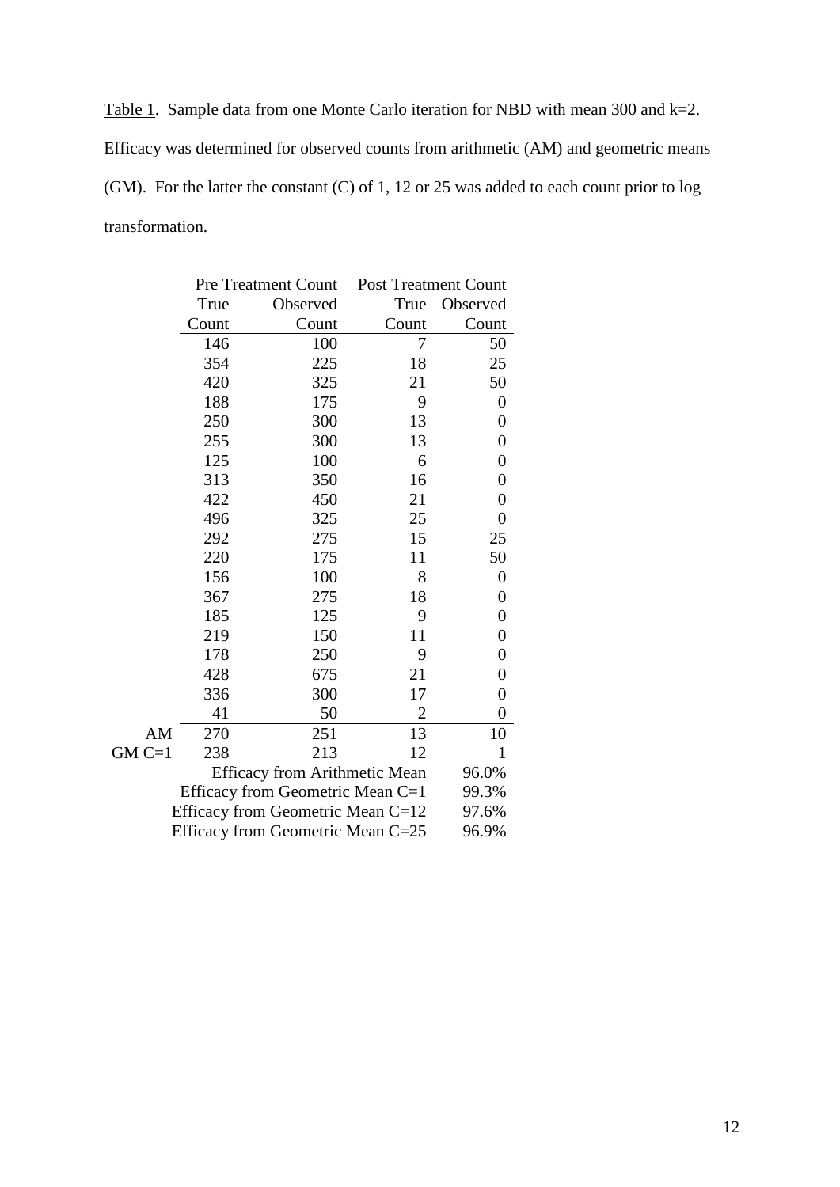Table 1. Sample data from one Monte Carlo iteration for NBD with mean 300 and k=2. Efficacy was determined for observed counts from arithmetic (AM) and geometric means (GM). For the latter the constant (C) of 1, 12 or 25 was added to each count prior to log transformation.

|                                   | <b>Pre Treatment Count</b> |          | <b>Post Treatment Count</b> |                  |  |  |
|-----------------------------------|----------------------------|----------|-----------------------------|------------------|--|--|
|                                   | True                       | Observed | True                        | Observed         |  |  |
|                                   | Count                      | Count    | Count                       | Count            |  |  |
|                                   | 146                        | 100      | 7                           | 50               |  |  |
|                                   | 354                        | 225      | 18                          | 25               |  |  |
|                                   | 420                        | 325      | 21                          | 50               |  |  |
|                                   | 188                        | 175      | 9                           | $\boldsymbol{0}$ |  |  |
|                                   | 250                        | 300      | 13                          | $\boldsymbol{0}$ |  |  |
|                                   | 255                        | 300      | 13                          | $\boldsymbol{0}$ |  |  |
|                                   | 125                        | 100      | 6                           | $\boldsymbol{0}$ |  |  |
|                                   | 313                        | 350      | 16                          | $\overline{0}$   |  |  |
|                                   | 422                        | 450      | 21                          | $\boldsymbol{0}$ |  |  |
|                                   | 496                        | 325      | 25                          | $\overline{0}$   |  |  |
|                                   | 292                        | 275      | 15                          | 25               |  |  |
|                                   | 220                        | 175      | 11                          | 50               |  |  |
|                                   | 156                        | 100      | 8                           | $\boldsymbol{0}$ |  |  |
|                                   | 367                        | 275      | 18                          | $\boldsymbol{0}$ |  |  |
|                                   | 185                        | 125      | 9                           | $\boldsymbol{0}$ |  |  |
|                                   | 219                        | 150      | 11                          | $\boldsymbol{0}$ |  |  |
|                                   | 178                        | 250      | 9                           | $\boldsymbol{0}$ |  |  |
|                                   | 428                        | 675      | 21                          | $\boldsymbol{0}$ |  |  |
|                                   | 336                        | 300      | 17                          | 0                |  |  |
|                                   | 41                         | 50       | $\overline{2}$              | $\overline{0}$   |  |  |
| AM                                | 270                        | 251      | 13                          | 10               |  |  |
| $GMC=1$                           | 238                        | 213      | 12                          | $\mathbf{1}$     |  |  |
|                                   | 96.0%                      |          |                             |                  |  |  |
| Efficacy from Geometric Mean C=1  | 99.3%                      |          |                             |                  |  |  |
| Efficacy from Geometric Mean C=12 | 97.6%                      |          |                             |                  |  |  |
| Efficacy from Geometric Mean C=25 |                            |          |                             | 96.9%            |  |  |
|                                   |                            |          |                             |                  |  |  |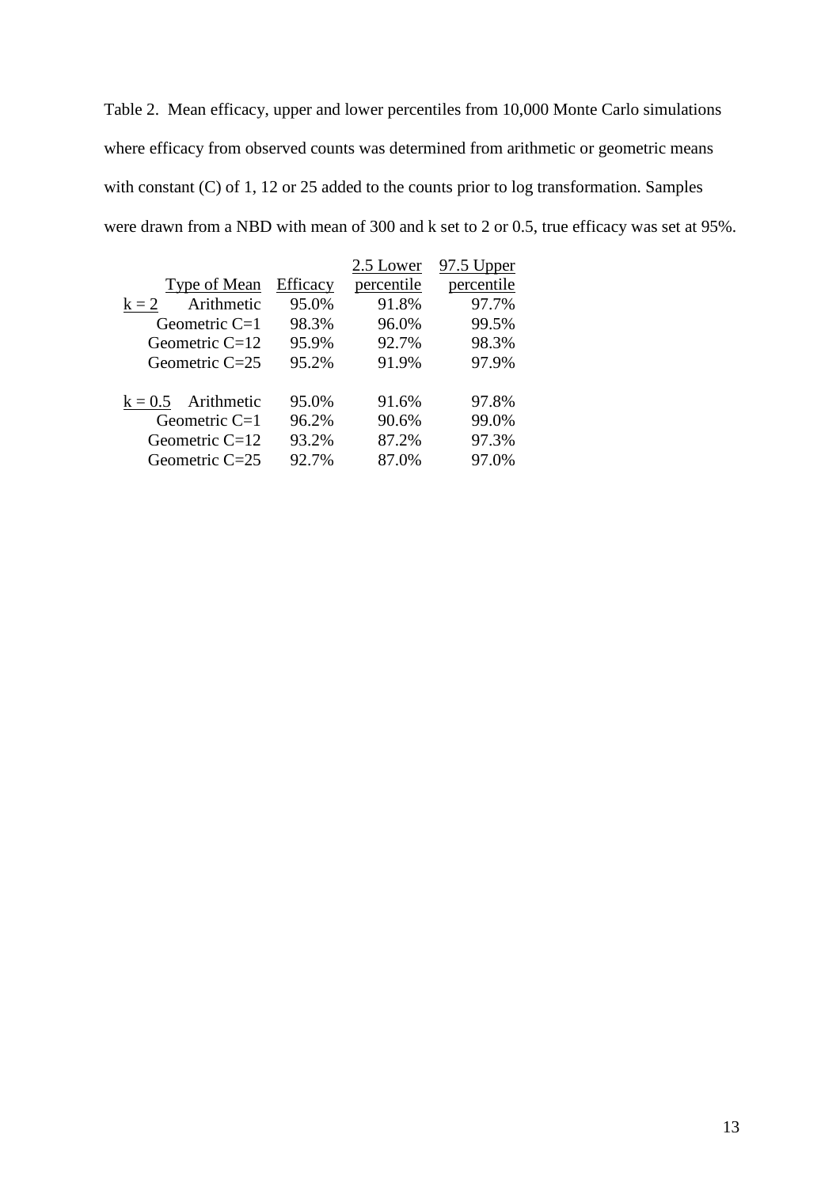Table 2. Mean efficacy, upper and lower percentiles from 10,000 Monte Carlo simulations where efficacy from observed counts was determined from arithmetic or geometric means with constant (C) of 1, 12 or 25 added to the counts prior to log transformation. Samples were drawn from a NBD with mean of 300 and k set to 2 or 0.5, true efficacy was set at 95%.

|                       |          | 2.5 Lower  | 97.5 Upper |
|-----------------------|----------|------------|------------|
| Type of Mean          | Efficacy | percentile | percentile |
| Arithmetic<br>$k = 2$ | 95.0%    | 91.8%      | 97.7%      |
| Geometric $C=1$       | 98.3%    | 96.0%      | 99.5%      |
| Geometric $C=12$      | 95.9%    | 92.7%      | 98.3%      |
| Geometric $C=25$      | 95.2%    | 91.9%      | 97.9%      |
| $k = 0.5$ Arithmetic  | 95.0%    | 91.6%      | 97.8%      |
| Geometric C=1         | 96.2%    | 90.6%      | 99.0%      |
| Geometric $C=12$      | 93.2%    | 87.2%      | 97.3%      |
| Geometric $C=25$      | 92.7%    | 87.0%      | 97.0%      |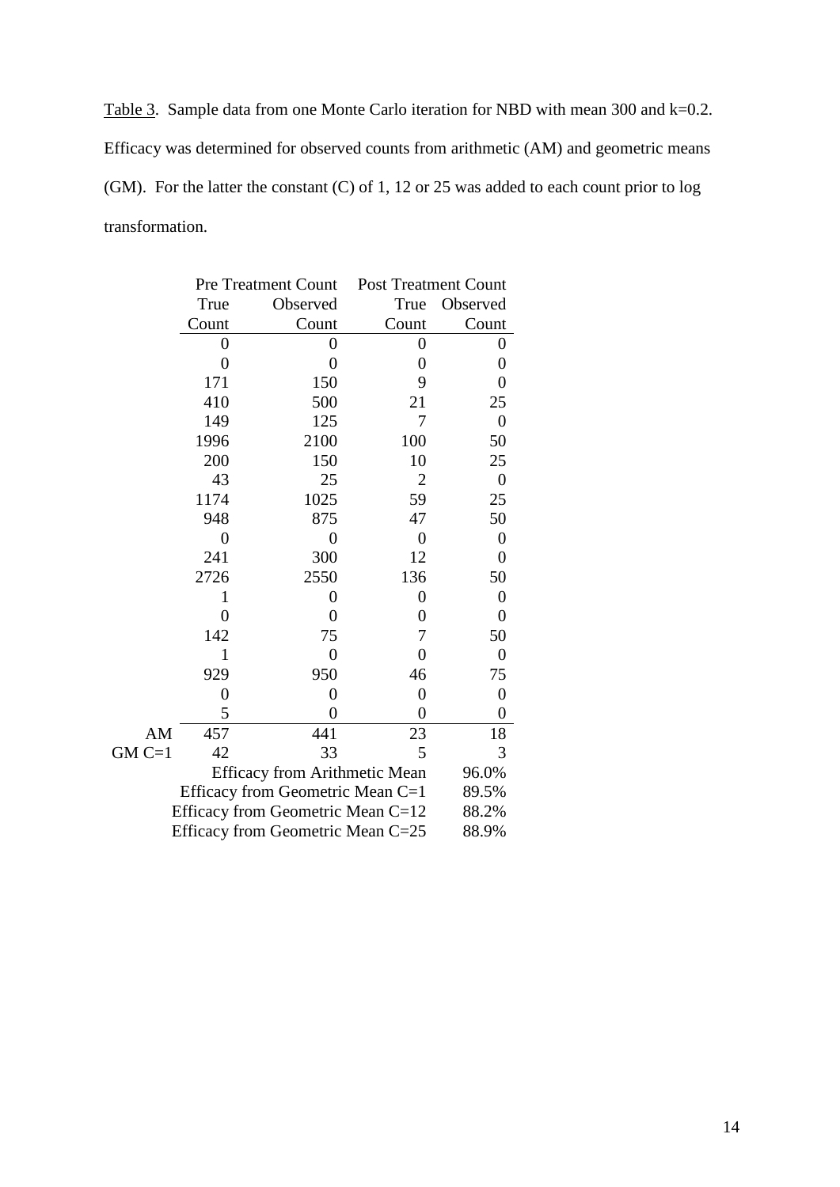Table 3. Sample data from one Monte Carlo iteration for NBD with mean 300 and k=0.2. Efficacy was determined for observed counts from arithmetic (AM) and geometric means (GM). For the latter the constant (C) of 1, 12 or 25 was added to each count prior to log transformation.

|                                   | <b>Pre Treatment Count</b> |                | <b>Post Treatment Count</b> |                  |
|-----------------------------------|----------------------------|----------------|-----------------------------|------------------|
|                                   | True                       | Observed       | True                        | Observed         |
|                                   | Count                      | Count          | Count                       | Count            |
|                                   | 0                          | 0              | 0                           | 0                |
|                                   | $\overline{0}$             | $\overline{0}$ | $\boldsymbol{0}$            | $\overline{0}$   |
|                                   | 171                        | 150            | 9                           | $\overline{0}$   |
|                                   | 410                        | 500            | 21                          | 25               |
|                                   | 149                        | 125            | 7                           | $\overline{0}$   |
|                                   | 1996                       | 2100           | 100                         | 50               |
|                                   | 200                        | 150            | 10                          | 25               |
|                                   | 43                         | 25             | $\overline{2}$              | $\overline{0}$   |
|                                   | 1174                       | 1025           | 59                          | 25               |
|                                   | 948                        | 875            | 47                          | 50               |
|                                   | $\overline{0}$             | $\overline{0}$ | $\boldsymbol{0}$            | $\boldsymbol{0}$ |
|                                   | 241                        | 300            | 12                          | $\overline{0}$   |
|                                   | 2726                       | 2550           | 136                         | 50               |
|                                   | 1                          | $\overline{0}$ | $\overline{0}$              | $\overline{0}$   |
|                                   | $\overline{0}$             | $\overline{0}$ | $\overline{0}$              | $\overline{0}$   |
|                                   | 142                        | 75             | 7                           | 50               |
|                                   | $\mathbf{1}$               | $\overline{0}$ | $\overline{0}$              | $\overline{0}$   |
|                                   | 929                        | 950            | 46                          | 75               |
|                                   | $\overline{0}$             | $\overline{0}$ | $\overline{0}$              | $\overline{0}$   |
|                                   | 5                          | $\overline{0}$ | $\overline{0}$              | $\overline{0}$   |
| AM                                | 457                        | 441            | 23                          | 18               |
| $GMC=1$                           | 42                         | 33             | 5                           | 3                |
|                                   | 96.0%                      |                |                             |                  |
| Efficacy from Geometric Mean C=1  | 89.5%                      |                |                             |                  |
| Efficacy from Geometric Mean C=12 | 88.2%                      |                |                             |                  |
| Efficacy from Geometric Mean C=25 |                            |                |                             | 88.9%            |
|                                   |                            |                |                             |                  |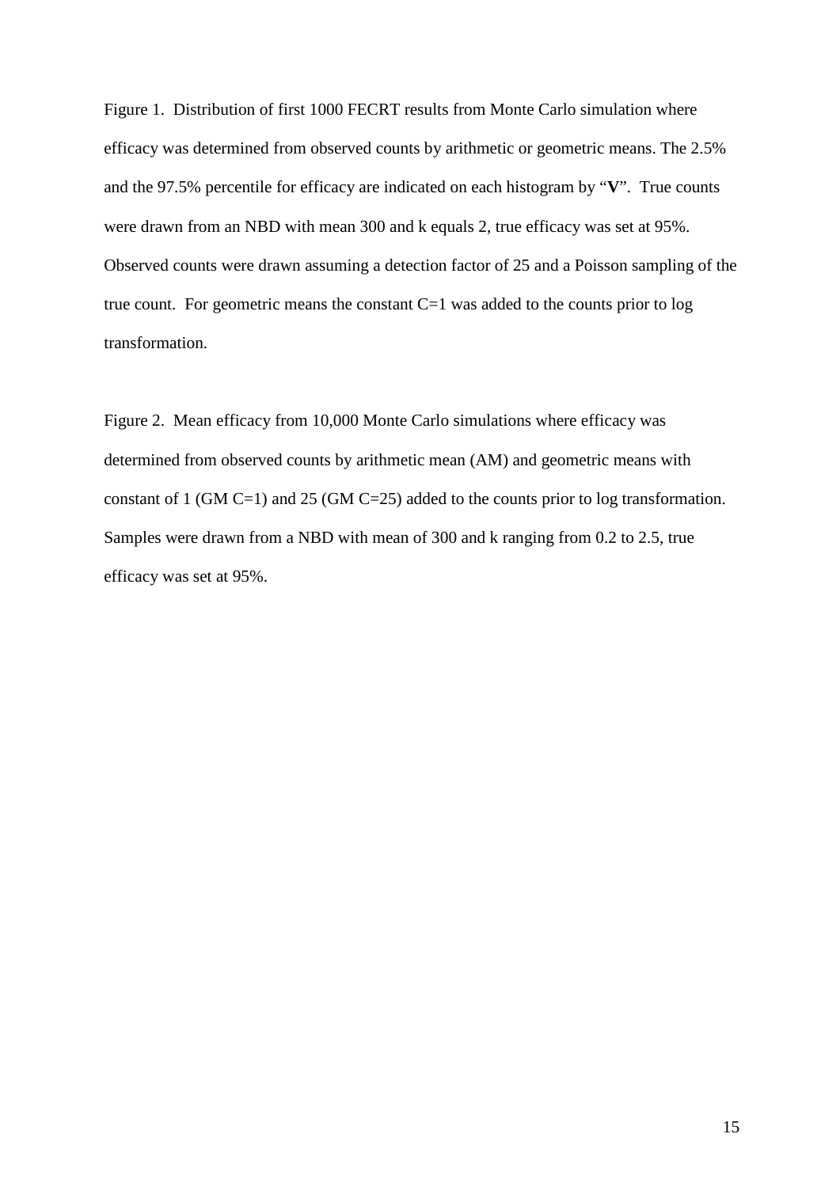Figure 1. Distribution of first 1000 FECRT results from Monte Carlo simulation where efficacy was determined from observed counts by arithmetic or geometric means. The 2.5% and the 97.5% percentile for efficacy are indicated on each histogram by "**V**". True counts were drawn from an NBD with mean 300 and k equals 2, true efficacy was set at 95%. Observed counts were drawn assuming a detection factor of 25 and a Poisson sampling of the true count. For geometric means the constant  $C=1$  was added to the counts prior to log transformation.

Figure 2. Mean efficacy from 10,000 Monte Carlo simulations where efficacy was determined from observed counts by arithmetic mean (AM) and geometric means with constant of 1 (GM C=1) and 25 (GM C=25) added to the counts prior to log transformation. Samples were drawn from a NBD with mean of 300 and k ranging from 0.2 to 2.5, true efficacy was set at 95%.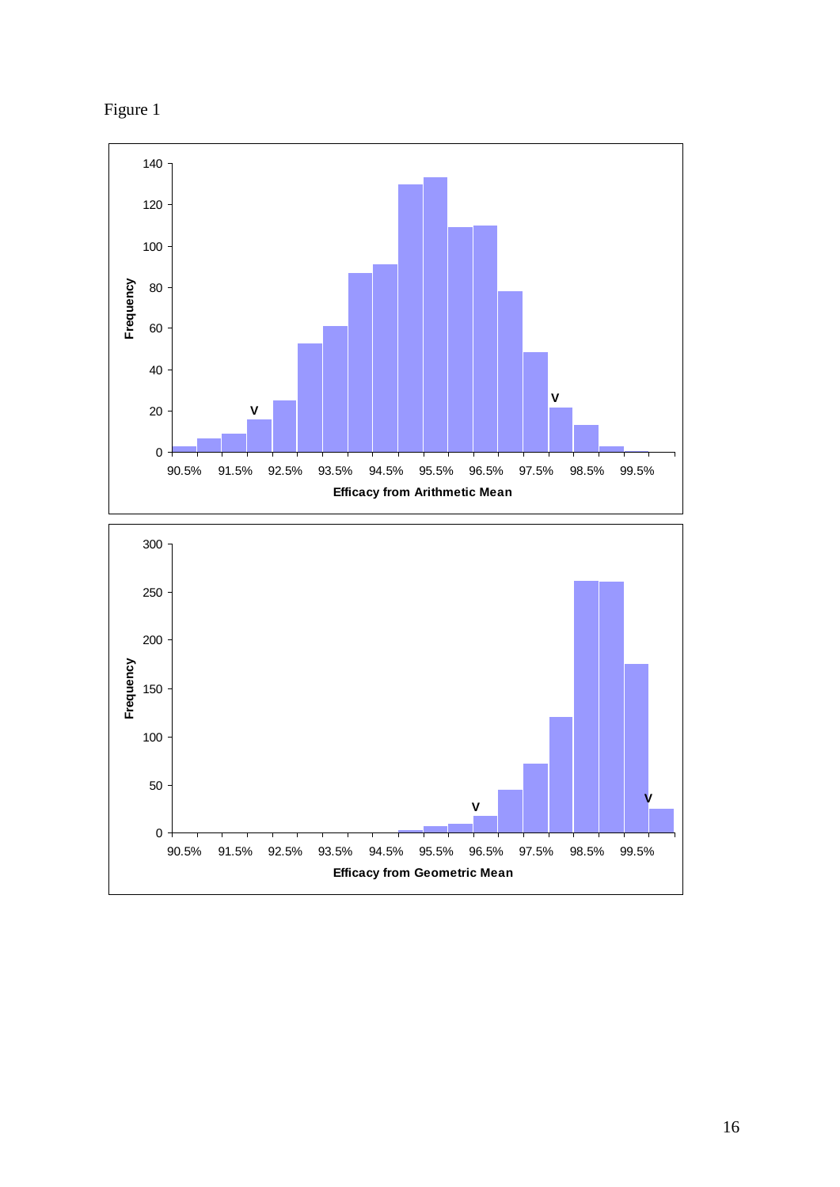